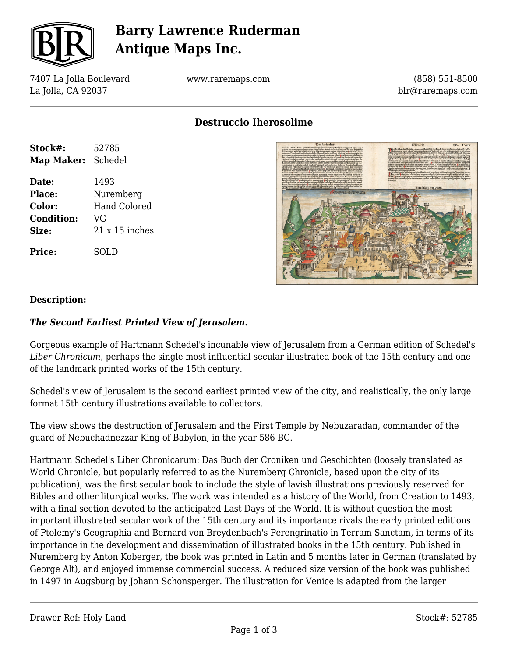

## **Barry Lawrence Ruderman Antique Maps Inc.**

7407 La Jolla Boulevard La Jolla, CA 92037

www.raremaps.com

(858) 551-8500 blr@raremaps.com

**Destruccio Iherosolime**

| Stock#:           | 52785                 |
|-------------------|-----------------------|
| Map Maker:        | Schedel               |
| Date:             | 1493                  |
| Place:            | Nuremberg             |
| Color:            | <b>Hand Colored</b>   |
| <b>Condition:</b> | VG                    |
| Size:             | $21 \times 15$ inches |
| Price:            | SOLD                  |



### **Description:**

#### *The Second Earliest Printed View of Jerusalem.*

Gorgeous example of Hartmann Schedel's incunable view of Jerusalem from a German edition of Schedel's *Liber Chronicum*, perhaps the single most influential secular illustrated book of the 15th century and one of the landmark printed works of the 15th century.

Schedel's view of Jerusalem is the second earliest printed view of the city, and realistically, the only large format 15th century illustrations available to collectors.

The view shows the destruction of Jerusalem and the First Temple by Nebuzaradan, commander of the guard of Nebuchadnezzar King of Babylon, in the year 586 BC.

Hartmann Schedel's Liber Chronicarum: Das Buch der Croniken und Geschichten (loosely translated as World Chronicle, but popularly referred to as the Nuremberg Chronicle, based upon the city of its publication), was the first secular book to include the style of lavish illustrations previously reserved for Bibles and other liturgical works. The work was intended as a history of the World, from Creation to 1493, with a final section devoted to the anticipated Last Days of the World. It is without question the most important illustrated secular work of the 15th century and its importance rivals the early printed editions of Ptolemy's Geographia and Bernard von Breydenbach's Perengrinatio in Terram Sanctam, in terms of its importance in the development and dissemination of illustrated books in the 15th century. Published in Nuremberg by Anton Koberger, the book was printed in Latin and 5 months later in German (translated by George Alt), and enjoyed immense commercial success. A reduced size version of the book was published in 1497 in Augsburg by Johann Schonsperger. The illustration for Venice is adapted from the larger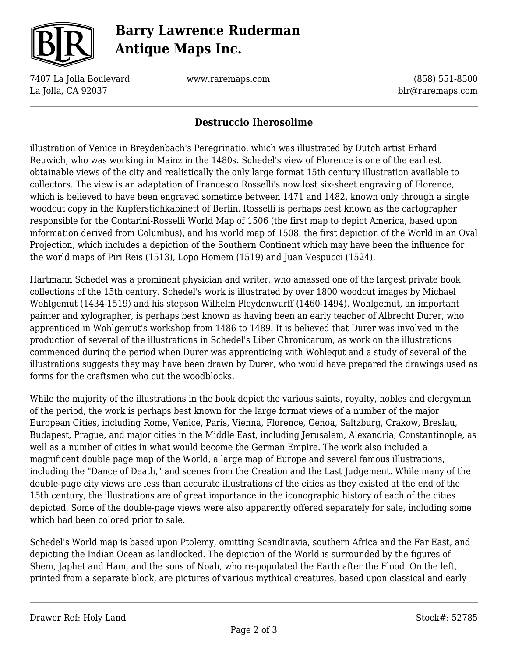

# **Barry Lawrence Ruderman Antique Maps Inc.**

7407 La Jolla Boulevard La Jolla, CA 92037

www.raremaps.com

(858) 551-8500 blr@raremaps.com

### **Destruccio Iherosolime**

illustration of Venice in Breydenbach's Peregrinatio, which was illustrated by Dutch artist Erhard Reuwich, who was working in Mainz in the 1480s. Schedel's view of Florence is one of the earliest obtainable views of the city and realistically the only large format 15th century illustration available to collectors. The view is an adaptation of Francesco Rosselli's now lost six-sheet engraving of Florence, which is believed to have been engraved sometime between 1471 and 1482, known only through a single woodcut copy in the Kupferstichkabinett of Berlin. Rosselli is perhaps best known as the cartographer responsible for the Contarini-Rosselli World Map of 1506 (the first map to depict America, based upon information derived from Columbus), and his world map of 1508, the first depiction of the World in an Oval Projection, which includes a depiction of the Southern Continent which may have been the influence for the world maps of Piri Reis (1513), Lopo Homem (1519) and Juan Vespucci (1524).

Hartmann Schedel was a prominent physician and writer, who amassed one of the largest private book collections of the 15th century. Schedel's work is illustrated by over 1800 woodcut images by Michael Wohlgemut (1434-1519) and his stepson Wilhelm Pleydenwurff (1460-1494). Wohlgemut, an important painter and xylographer, is perhaps best known as having been an early teacher of Albrecht Durer, who apprenticed in Wohlgemut's workshop from 1486 to 1489. It is believed that Durer was involved in the production of several of the illustrations in Schedel's Liber Chronicarum, as work on the illustrations commenced during the period when Durer was apprenticing with Wohlegut and a study of several of the illustrations suggests they may have been drawn by Durer, who would have prepared the drawings used as forms for the craftsmen who cut the woodblocks.

While the majority of the illustrations in the book depict the various saints, royalty, nobles and clergyman of the period, the work is perhaps best known for the large format views of a number of the major European Cities, including Rome, Venice, Paris, Vienna, Florence, Genoa, Saltzburg, Crakow, Breslau, Budapest, Prague, and major cities in the Middle East, including Jerusalem, Alexandria, Constantinople, as well as a number of cities in what would become the German Empire. The work also included a magnificent double page map of the World, a large map of Europe and several famous illustrations, including the "Dance of Death," and scenes from the Creation and the Last Judgement. While many of the double-page city views are less than accurate illustrations of the cities as they existed at the end of the 15th century, the illustrations are of great importance in the iconographic history of each of the cities depicted. Some of the double-page views were also apparently offered separately for sale, including some which had been colored prior to sale.

Schedel's World map is based upon Ptolemy, omitting Scandinavia, southern Africa and the Far East, and depicting the Indian Ocean as landlocked. The depiction of the World is surrounded by the figures of Shem, Japhet and Ham, and the sons of Noah, who re-populated the Earth after the Flood. On the left, printed from a separate block, are pictures of various mythical creatures, based upon classical and early